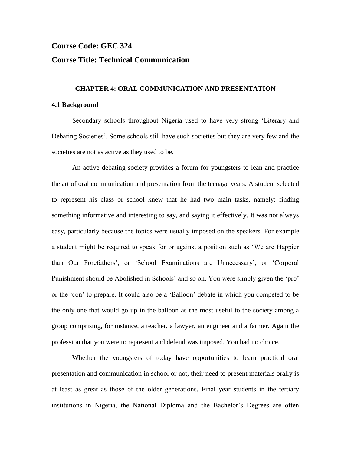## **Course Code: GEC 324 Course Title: Technical Communication**

# **CHAPTER 4: ORAL COMMUNICATION AND PRESENTATION 4.1 Background**

# Secondary schools throughout Nigeria used to have very strong "Literary and Debating Societies". Some schools still have such societies but they are very few and the societies are not as active as they used to be.

An active debating society provides a forum for youngsters to lean and practice the art of oral communication and presentation from the teenage years. A student selected to represent his class or school knew that he had two main tasks, namely: finding something informative and interesting to say, and saying it effectively. It was not always easy, particularly because the topics were usually imposed on the speakers. For example a student might be required to speak for or against a position such as "We are Happier than Our Forefathers", or "School Examinations are Unnecessary", or "Corporal Punishment should be Abolished in Schools' and so on. You were simply given the 'pro' or the "con" to prepare. It could also be a "Balloon" debate in which you competed to be the only one that would go up in the balloon as the most useful to the society among a group comprising, for instance, a teacher, a lawyer, an engineer and a farmer. Again the profession that you were to represent and defend was imposed. You had no choice.

Whether the youngsters of today have opportunities to learn practical oral presentation and communication in school or not, their need to present materials orally is at least as great as those of the older generations. Final year students in the tertiary institutions in Nigeria, the National Diploma and the Bachelor"s Degrees are often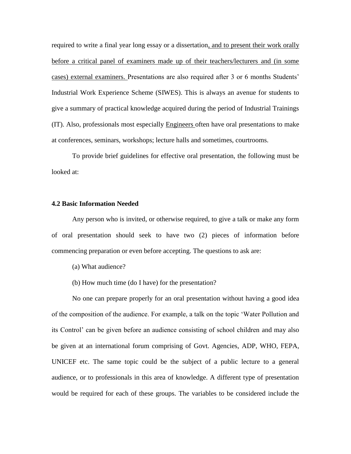required to write a final year long essay or a dissertation, and to present their work orally before a critical panel of examiners made up of their teachers/lecturers and (in some cases) external examiners. Presentations are also required after 3 or 6 months Students" Industrial Work Experience Scheme (SIWES). This is always an avenue for students to give a summary of practical knowledge acquired during the period of Industrial Trainings (IT). Also, professionals most especially Engineers often have oral presentations to make at conferences, seminars, workshops; lecture halls and sometimes, courtrooms.

To provide brief guidelines for effective oral presentation, the following must be looked at:

#### **4.2 Basic Information Needed**

Any person who is invited, or otherwise required, to give a talk or make any form of oral presentation should seek to have two (2) pieces of information before commencing preparation or even before accepting. The questions to ask are:

- (a) What audience?
- (b) How much time (do I have) for the presentation?

No one can prepare properly for an oral presentation without having a good idea of the composition of the audience. For example, a talk on the topic "Water Pollution and its Control' can be given before an audience consisting of school children and may also be given at an international forum comprising of Govt. Agencies, ADP, WHO, FEPA, UNICEF etc. The same topic could be the subject of a public lecture to a general audience, or to professionals in this area of knowledge. A different type of presentation would be required for each of these groups. The variables to be considered include the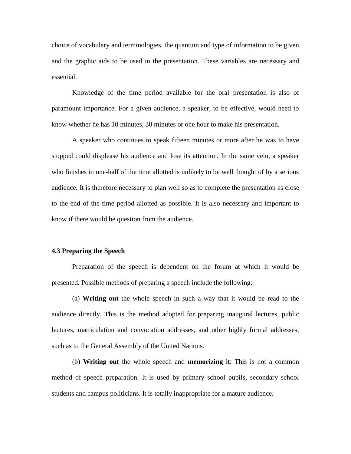choice of vocabulary and terminologies, the quantum and type of information to be given and the graphic aids to be used in the presentation. These variables are necessary and essential.

Knowledge of the time period available for the oral presentation is also of paramount importance. For a given audience, a speaker, to be effective, would need to know whether he has 10 minutes, 30 minutes or one hour to make his presentation.

A speaker who continues to speak fifteen minutes or more after he was to have stopped could displease his audience and lose its attention. In the same vein, a speaker who finishes in one-half of the time allotted is unlikely to be well thought of by a serious audience. It is therefore necessary to plan well so as to complete the presentation as close to the end of the time period allotted as possible. It is also necessary and important to know if there would be question from the audience.

## **4.3 Preparing the Speech**

Preparation of the speech is dependent on the forum at which it would be presented. Possible methods of preparing a speech include the following:

(a) **Writing out** the whole speech in such a way that it would be read to the audience directly. This is the method adopted for preparing inaugural lectures, public lectures, matriculation and convocation addresses, and other highly formal addresses, such as to the General Assembly of the United Nations.

(b) **Writing out** the whole speech and **memorizing** it: This is not a common method of speech preparation. It is used by primary school pupils, secondary school students and campus politicians. It is totally inappropriate for a mature audience.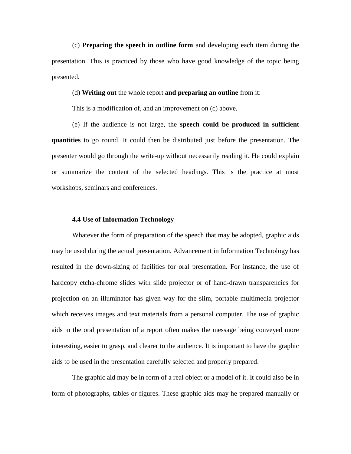(c) **Preparing the speech in outline form** and developing each item during the presentation. This is practiced by those who have good knowledge of the topic being presented.

(d) **Writing out** the whole report **and preparing an outline** from it:

This is a modification of, and an improvement on (c) above.

(e) If the audience is not large, the **speech could be produced in sufficient quantities** to go round. It could then be distributed just before the presentation. The presenter would go through the write-up without necessarily reading it. He could explain or summarize the content of the selected headings. This is the practice at most workshops, seminars and conferences.

#### **4.4 Use of Information Technology**

Whatever the form of preparation of the speech that may be adopted, graphic aids may be used during the actual presentation. Advancement in Information Technology has resulted in the down-sizing of facilities for oral presentation. For instance, the use of hardcopy etcha-chrome slides with slide projector or of hand-drawn transparencies for projection on an illuminator has given way for the slim, portable multimedia projector which receives images and text materials from a personal computer. The use of graphic aids in the oral presentation of a report often makes the message being conveyed more interesting, easier to grasp, and clearer to the audience. It is important to have the graphic aids to be used in the presentation carefully selected and properly prepared.

The graphic aid may be in form of a real object or a model of it. It could also be in form of photographs, tables or figures. These graphic aids may he prepared manually or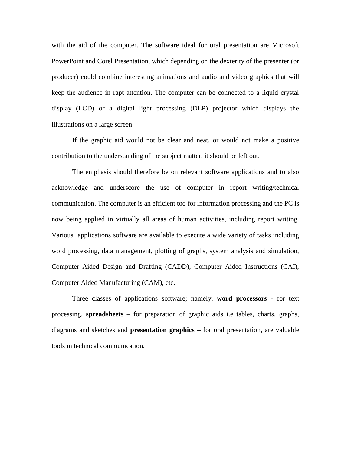with the aid of the computer. The software ideal for oral presentation are Microsoft PowerPoint and Corel Presentation, which depending on the dexterity of the presenter (or producer) could combine interesting animations and audio and video graphics that will keep the audience in rapt attention. The computer can be connected to a liquid crystal display (LCD) or a digital light processing (DLP) projector which displays the illustrations on a large screen.

If the graphic aid would not be clear and neat, or would not make a positive contribution to the understanding of the subject matter, it should be left out.

The emphasis should therefore be on relevant software applications and to also acknowledge and underscore the use of computer in report writing/technical communication. The computer is an efficient too for information processing and the PC is now being applied in virtually all areas of human activities, including report writing. Various applications software are available to execute a wide variety of tasks including word processing, data management, plotting of graphs, system analysis and simulation, Computer Aided Design and Drafting (CADD), Computer Aided Instructions (CAI), Computer Aided Manufacturing (CAM), etc.

Three classes of applications software; namely, **word processors** - for text processing, **spreadsheets** – for preparation of graphic aids i.e tables, charts, graphs, diagrams and sketches and **presentation graphics –** for oral presentation, are valuable tools in technical communication.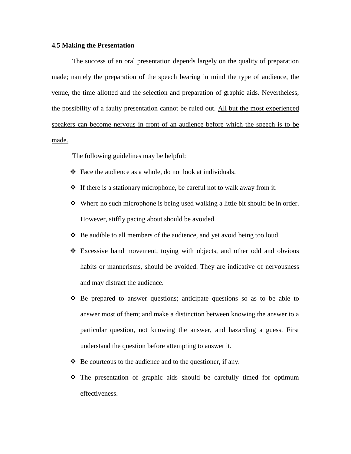#### **4.5 Making the Presentation**

The success of an oral presentation depends largely on the quality of preparation made; namely the preparation of the speech bearing in mind the type of audience, the venue, the time allotted and the selection and preparation of graphic aids. Nevertheless, the possibility of a faulty presentation cannot be ruled out. All but the most experienced speakers can become nervous in front of an audience before which the speech is to be made.

The following guidelines may be helpful:

- $\triangle$  Face the audience as a whole, do not look at individuals.
- $\cdot \cdot$  If there is a stationary microphone, be careful not to walk away from it.
- Where no such microphone is being used walking a little bit should be in order. However, stiffly pacing about should be avoided.
- $\triangle$  Be audible to all members of the audience, and yet avoid being too loud.
- Excessive hand movement, toying with objects, and other odd and obvious habits or mannerisms, should be avoided. They are indicative of nervousness and may distract the audience.
- $\triangle$  Be prepared to answer questions; anticipate questions so as to be able to answer most of them; and make a distinction between knowing the answer to a particular question, not knowing the answer, and hazarding a guess. First understand the question before attempting to answer it.
- $\triangle$  Be courteous to the audience and to the questioner, if any.
- $\hat{\cdot}$  The presentation of graphic aids should be carefully timed for optimum effectiveness.